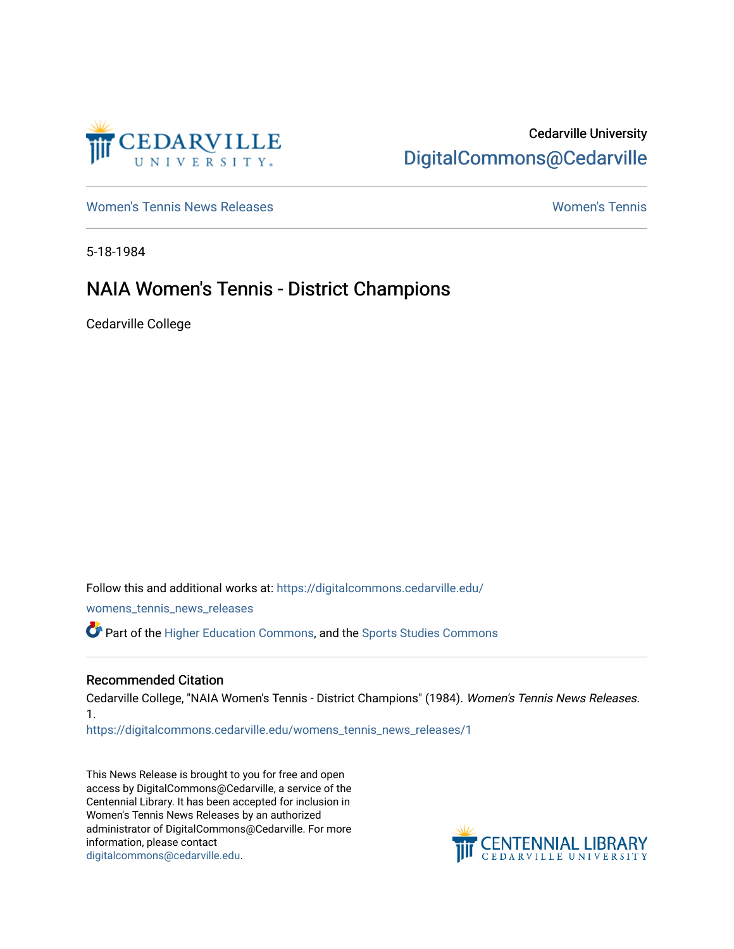

## Cedarville University [DigitalCommons@Cedarville](https://digitalcommons.cedarville.edu/)

[Women's Tennis News Releases](https://digitalcommons.cedarville.edu/womens_tennis_news_releases) [Women's Tennis](https://digitalcommons.cedarville.edu/womens_tennis) 

5-18-1984

## NAIA Women's Tennis - District Champions

Cedarville College

Follow this and additional works at: [https://digitalcommons.cedarville.edu/](https://digitalcommons.cedarville.edu/womens_tennis_news_releases?utm_source=digitalcommons.cedarville.edu%2Fwomens_tennis_news_releases%2F1&utm_medium=PDF&utm_campaign=PDFCoverPages) [womens\\_tennis\\_news\\_releases](https://digitalcommons.cedarville.edu/womens_tennis_news_releases?utm_source=digitalcommons.cedarville.edu%2Fwomens_tennis_news_releases%2F1&utm_medium=PDF&utm_campaign=PDFCoverPages)  Part of the [Higher Education Commons,](http://network.bepress.com/hgg/discipline/1245?utm_source=digitalcommons.cedarville.edu%2Fwomens_tennis_news_releases%2F1&utm_medium=PDF&utm_campaign=PDFCoverPages) and the [Sports Studies Commons](http://network.bepress.com/hgg/discipline/1198?utm_source=digitalcommons.cedarville.edu%2Fwomens_tennis_news_releases%2F1&utm_medium=PDF&utm_campaign=PDFCoverPages) 

## Recommended Citation

Cedarville College, "NAIA Women's Tennis - District Champions" (1984). Women's Tennis News Releases. 1.

[https://digitalcommons.cedarville.edu/womens\\_tennis\\_news\\_releases/1](https://digitalcommons.cedarville.edu/womens_tennis_news_releases/1?utm_source=digitalcommons.cedarville.edu%2Fwomens_tennis_news_releases%2F1&utm_medium=PDF&utm_campaign=PDFCoverPages) 

This News Release is brought to you for free and open access by DigitalCommons@Cedarville, a service of the Centennial Library. It has been accepted for inclusion in Women's Tennis News Releases by an authorized administrator of DigitalCommons@Cedarville. For more information, please contact [digitalcommons@cedarville.edu](mailto:digitalcommons@cedarville.edu).